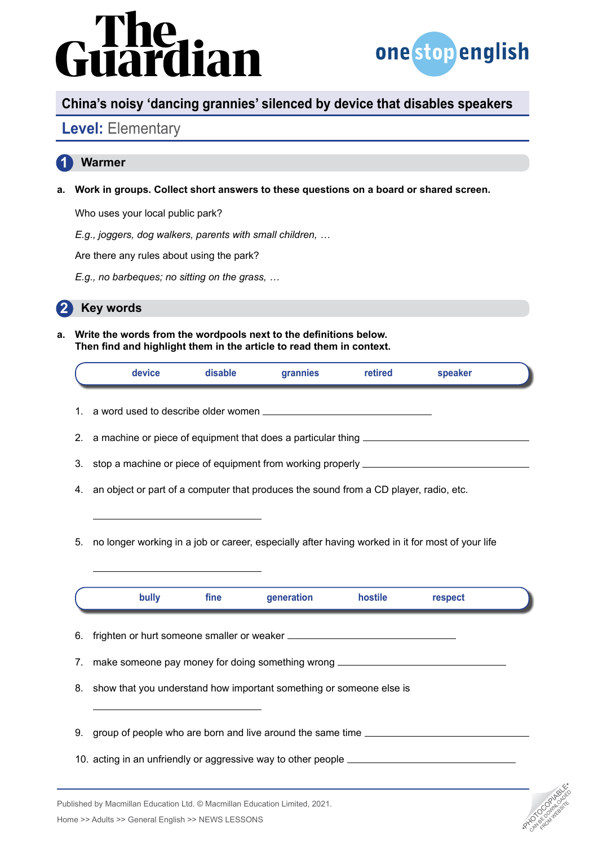# rdian



## **China's noisy 'dancing grannies' silenced by device that disables speakers**

## **Level:** Elementary

#### **1 Warmer**

**a. Work in groups. Collect short answers to these questions on a board or shared screen.**

Who uses your local public park?

*E.g., joggers, dog walkers, parents with small children, …*

Are there any rules about using the park?

*E.g., no barbeques; no sitting on the grass, …*



**a. Write the words from the wordpools next to the definitions below. Then find and highlight them in the article to read them in context.**

|                      | device                                                                                           | disable | grannies   | retired | speaker |  |
|----------------------|--------------------------------------------------------------------------------------------------|---------|------------|---------|---------|--|
|                      |                                                                                                  |         |            |         |         |  |
| 2.                   |                                                                                                  |         |            |         |         |  |
| 3.                   |                                                                                                  |         |            |         |         |  |
| 4.                   | an object or part of a computer that produces the sound from a CD player, radio, etc.            |         |            |         |         |  |
| 5.                   | no longer working in a job or career, especially after having worked in it for most of your life |         |            |         |         |  |
|                      |                                                                                                  |         |            |         |         |  |
|                      |                                                                                                  |         |            |         |         |  |
|                      | bully                                                                                            | fine    | generation | hostile | respect |  |
|                      |                                                                                                  |         |            |         |         |  |
|                      |                                                                                                  |         |            |         |         |  |
|                      | make someone pay money for doing something wrong _______________________________                 |         |            |         |         |  |
|                      | show that you understand how important something or someone else is                              |         |            |         |         |  |
|                      | group of people who are born and live around the same time ______________________                |         |            |         |         |  |
|                      | 10. acting in an unfriendly or aggressive way to other people ___________________                |         |            |         |         |  |
| 6.<br>7.<br>8.<br>9. |                                                                                                  |         |            |         |         |  |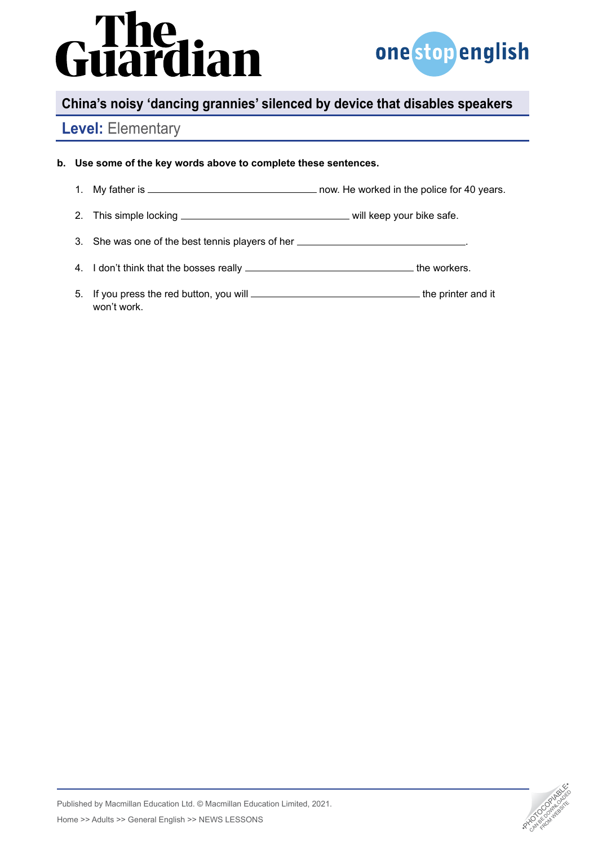# rdian



## **China's noisy 'dancing grannies' silenced by device that disables speakers**

## **Level:** Elementary

#### **b. Use some of the key words above to complete these sentences.**

- 1. My father is now. He worked in the police for 40 years.
- 2. This simple locking will keep your bike safe.
- 3. She was one of the best tennis players of her .
- 4. I don't think that the bosses really **the workers**.
- 5. If you press the red button, you will the printer and it won't work.

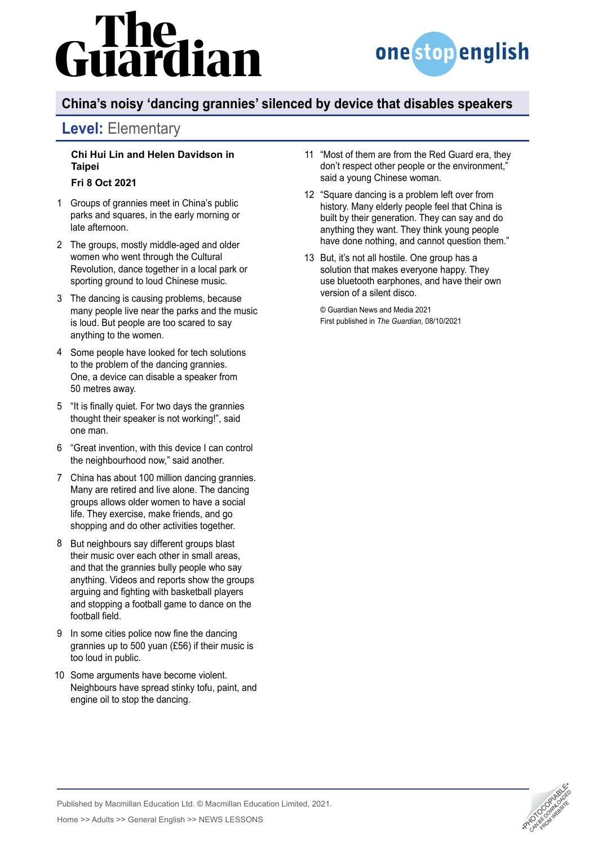# lian



## **China's noisy 'dancing grannies' silenced by device that disables speakers**

## **Level:** Elementary

#### **Chi Hui Lin and Helen Davidson in Taipei**

#### **Fri 8 Oct 2021**

- Groups of grannies meet in China's public 1 parks and squares, in the early morning or late afternoon.
- The groups, mostly middle-aged and older 2 women who went through the Cultural Revolution, dance together in a local park or sporting ground to loud Chinese music.
- The dancing is causing problems, because 3 many people live near the parks and the music is loud. But people are too scared to say anything to the women.
- Some people have looked for tech solutions 4 to the problem of the dancing grannies. One, a device can disable a speaker from 50 metres away.
- "It is finally quiet. For two days the grannies 5 thought their speaker is not working!", said one man.
- "Great invention, with this device I can control 6 the neighbourhood now," said another.
- China has about 100 million dancing grannies. 7 Many are retired and live alone. The dancing groups allows older women to have a social life. They exercise, make friends, and go shopping and do other activities together.
- 8 But neighbours say different groups blast their music over each other in small areas, and that the grannies bully people who say anything. Videos and reports show the groups arguing and fighting with basketball players and stopping a football game to dance on the football field.
- 9 In some cities police now fine the dancing grannies up to 500 yuan (£56) if their music is too loud in public.
- 10 Some arguments have become violent. Neighbours have spread stinky tofu, paint, and engine oil to stop the dancing.
- "Most of them are from the Red Guard era, they 11 don't respect other people or the environment," said a young Chinese woman.
- "Square dancing is a problem left over from 12 history. Many elderly people feel that China is built by their generation. They can say and do anything they want. They think young people have done nothing, and cannot question them."
- 13 But, it's not all hostile. One group has a solution that makes everyone happy. They use bluetooth earphones, and have their own version of a silent disco.

© Guardian News and Media 2021 First published in *The Guardian*, 08/10/2021



Published by Macmillan Education Ltd. © Macmillan Education Limited, 2021. Published by Macmillan Education Ltd. © Macmillan Education Limited, 2021.<br>Home >> Adults >> General English >> NEWS LESSONS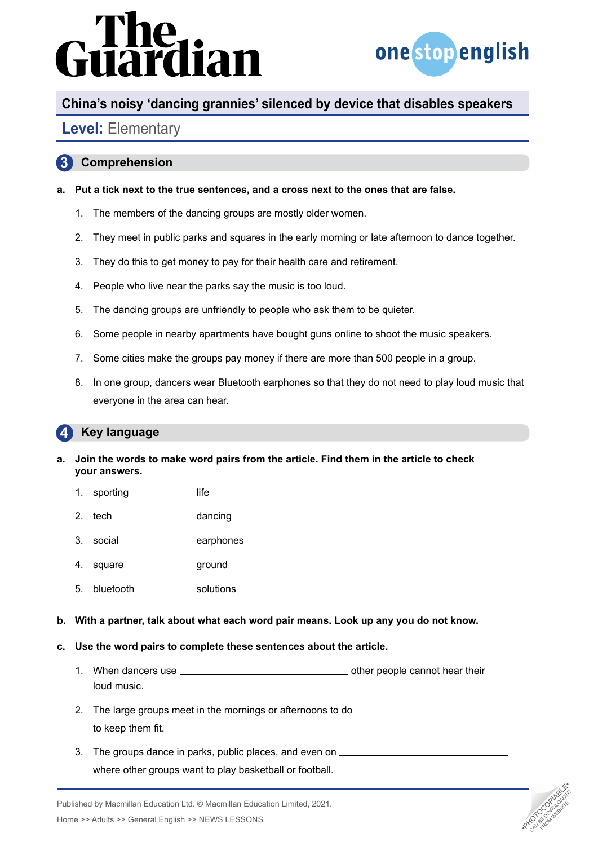# dian



## **China's noisy 'dancing grannies' silenced by device that disables speakers**

## **Level:** Elementary

#### **3 Comprehension**

- **a. Put a tick next to the true sentences, and a cross next to the ones that are false.** 
	- 1. The members of the dancing groups are mostly older women.
	- 2. They meet in public parks and squares in the early morning or late afternoon to dance together.
	- 3. They do this to get money to pay for their health care and retirement.
	- 4. People who live near the parks say the music is too loud.
	- 5. The dancing groups are unfriendly to people who ask them to be quieter.
	- 6. Some people in nearby apartments have bought guns online to shoot the music speakers.
	- 7. Some cities make the groups pay money if there are more than 500 people in a group.
	- 8. In one group, dancers wear Bluetooth earphones so that they do not need to play loud music that everyone in the area can hear.

#### **4 Key language**

- **a. Join the words to make word pairs from the article. Find them in the article to check your answers.**
	- 1. sporting life
	- 2. tech dancing
	- 3. social earphones
	- 4. square ground
	- 5. bluetooth solutions
- **b. With a partner, talk about what each word pair means. Look up any you do not know.**
- **c. Use the word pairs to complete these sentences about the article.**
	- 1. When dancers use <u>equal contained a set of people cannot</u> hear their loud music.
	- 2. The large groups meet in the mornings or afternoons to do to keep them fit.
	- 3. The groups dance in parks, public places, and even on where other groups want to play basketball or football.

Published by Macmillan Education Ltd. © Macmillan Education Limited, 2021. Analysished by Macmillan Education Ltd. © Macmillan Education Limited, 2021.<br>Home >> Adults >> General English >> NEWS LESSONS •PHOTOCOPIA •PHOTOCOPIA •PHOTOCOPIA •PHOTOCOPIA •PHOTOCOPIA<br>Analysis •Photocopy •PHOTOCOPIA •PH